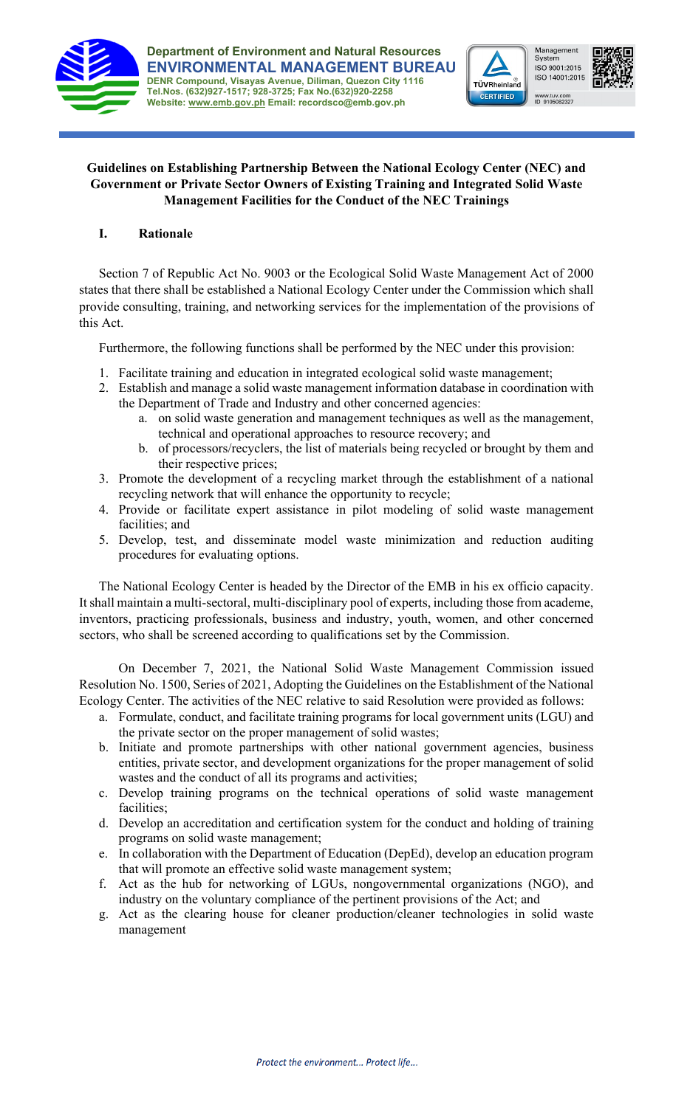





## **Guidelines on Establishing Partnership Between the National Ecology Center (NEC) and Government or Private Sector Owners of Existing Training and Integrated Solid Waste Management Facilities for the Conduct of the NEC Trainings**

# **I. Rationale**

Section 7 of Republic Act No. 9003 or the Ecological Solid Waste Management Act of 2000 states that there shall be established a National Ecology Center under the Commission which shall provide consulting, training, and networking services for the implementation of the provisions of this Act.

Furthermore, the following functions shall be performed by the NEC under this provision:

- 1. Facilitate training and education in integrated ecological solid waste management;
- 2. Establish and manage a solid waste management information database in coordination with the Department of Trade and Industry and other concerned agencies:
	- a. on solid waste generation and management techniques as well as the management, technical and operational approaches to resource recovery; and
	- b. of processors/recyclers, the list of materials being recycled or brought by them and their respective prices;
- 3. Promote the development of a recycling market through the establishment of a national recycling network that will enhance the opportunity to recycle;
- 4. Provide or facilitate expert assistance in pilot modeling of solid waste management facilities; and
- 5. Develop, test, and disseminate model waste minimization and reduction auditing procedures for evaluating options.

The National Ecology Center is headed by the Director of the EMB in his ex officio capacity. It shall maintain a multi-sectoral, multi-disciplinary pool of experts, including those from academe, inventors, practicing professionals, business and industry, youth, women, and other concerned sectors, who shall be screened according to qualifications set by the Commission.

On December 7, 2021, the National Solid Waste Management Commission issued Resolution No. 1500, Series of 2021, Adopting the Guidelines on the Establishment of the National Ecology Center. The activities of the NEC relative to said Resolution were provided as follows:

- a. Formulate, conduct, and facilitate training programs for local government units (LGU) and the private sector on the proper management of solid wastes;
- b. Initiate and promote partnerships with other national government agencies, business entities, private sector, and development organizations for the proper management of solid wastes and the conduct of all its programs and activities;
- c. Develop training programs on the technical operations of solid waste management facilities;
- d. Develop an accreditation and certification system for the conduct and holding of training programs on solid waste management;
- e. In collaboration with the Department of Education (DepEd), develop an education program that will promote an effective solid waste management system;
- f. Act as the hub for networking of LGUs, nongovernmental organizations (NGO), and industry on the voluntary compliance of the pertinent provisions of the Act; and
- g. Act as the clearing house for cleaner production/cleaner technologies in solid waste management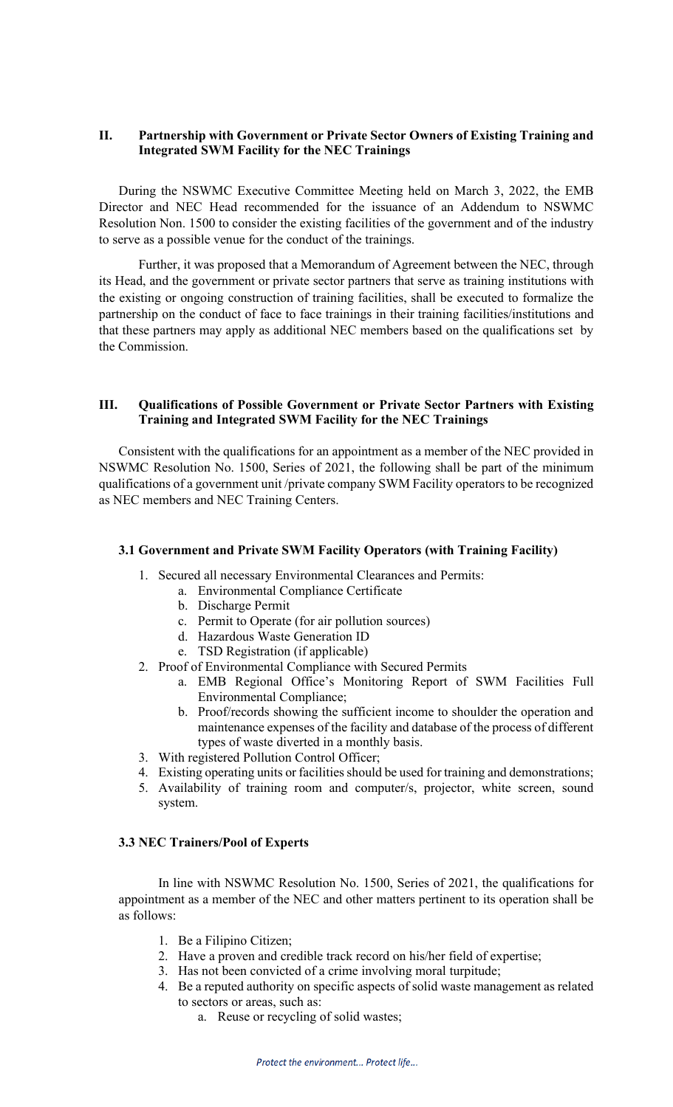## **II. Partnership with Government or Private Sector Owners of Existing Training and Integrated SWM Facility for the NEC Trainings**

During the NSWMC Executive Committee Meeting held on March 3, 2022, the EMB Director and NEC Head recommended for the issuance of an Addendum to NSWMC Resolution Non. 1500 to consider the existing facilities of the government and of the industry to serve as a possible venue for the conduct of the trainings.

Further, it was proposed that a Memorandum of Agreement between the NEC, through its Head, and the government or private sector partners that serve as training institutions with the existing or ongoing construction of training facilities, shall be executed to formalize the partnership on the conduct of face to face trainings in their training facilities/institutions and that these partners may apply as additional NEC members based on the qualifications set by the Commission.

### **III. Qualifications of Possible Government or Private Sector Partners with Existing Training and Integrated SWM Facility for the NEC Trainings**

Consistent with the qualifications for an appointment as a member of the NEC provided in NSWMC Resolution No. 1500, Series of 2021, the following shall be part of the minimum qualifications of a government unit /private company SWM Facility operators to be recognized as NEC members and NEC Training Centers.

#### **3.1 Government and Private SWM Facility Operators (with Training Facility)**

- 1. Secured all necessary Environmental Clearances and Permits:
	- a. Environmental Compliance Certificate
		- b. Discharge Permit
		- c. Permit to Operate (for air pollution sources)
		- d. Hazardous Waste Generation ID
		- e. TSD Registration (if applicable)
- 2. Proof of Environmental Compliance with Secured Permits
	- a. EMB Regional Office's Monitoring Report of SWM Facilities Full Environmental Compliance;
	- b. Proof/records showing the sufficient income to shoulder the operation and maintenance expenses of the facility and database of the process of different types of waste diverted in a monthly basis.
- 3. With registered Pollution Control Officer;
- 4. Existing operating units or facilities should be used for training and demonstrations;
- 5. Availability of training room and computer/s, projector, white screen, sound system.

## **3.3 NEC Trainers/Pool of Experts**

In line with NSWMC Resolution No. 1500, Series of 2021, the qualifications for appointment as a member of the NEC and other matters pertinent to its operation shall be as follows:

- 1. Be a Filipino Citizen;
- 2. Have a proven and credible track record on his/her field of expertise;
- 3. Has not been convicted of a crime involving moral turpitude;
- 4. Be a reputed authority on specific aspects of solid waste management as related to sectors or areas, such as:
	- a. Reuse or recycling of solid wastes;